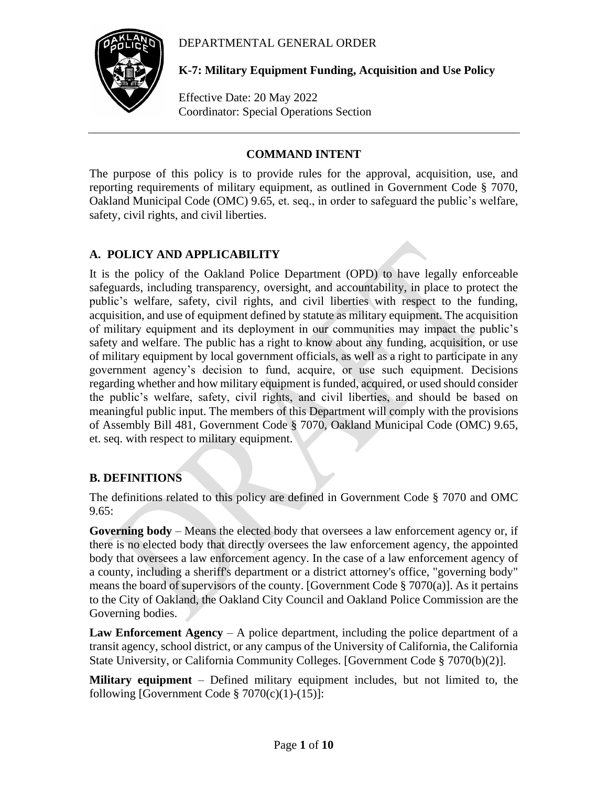### DEPARTMENTAL GENERAL ORDER



**K-7: Military Equipment Funding, Acquisition and Use Policy**

Effective Date: 20 May 2022 Coordinator: Special Operations Section

### **COMMAND INTENT**

The purpose of this policy is to provide rules for the approval, acquisition, use, and reporting requirements of military equipment, as outlined in Government Code § 7070, Oakland Municipal Code (OMC) 9.65, et. seq., in order to safeguard the public's welfare, safety, civil rights, and civil liberties.

# **A. POLICY AND APPLICABILITY**

It is the policy of the Oakland Police Department (OPD) to have legally enforceable safeguards, including transparency, oversight, and accountability, in place to protect the public's welfare, safety, civil rights, and civil liberties with respect to the funding, acquisition, and use of equipment defined by statute as military equipment. The acquisition of military equipment and its deployment in our communities may impact the public's safety and welfare. The public has a right to know about any funding, acquisition, or use of military equipment by local government officials, as well as a right to participate in any government agency's decision to fund, acquire, or use such equipment. Decisions regarding whether and how military equipment is funded, acquired, or used should consider the public's welfare, safety, civil rights, and civil liberties, and should be based on meaningful public input. The members of this Department will comply with the provisions of Assembly Bill 481, Government Code § 7070, Oakland Municipal Code (OMC) 9.65, et. seq. with respect to military equipment.

### **B. DEFINITIONS**

The definitions related to this policy are defined in Government Code § 7070 and OMC  $9.65:$ 

**Governing body** – Means the elected body that oversees a law enforcement agency or, if there is no elected body that directly oversees the law enforcement agency, the appointed body that oversees a law enforcement agency. In the case of a law enforcement agency of a county, including a sheriff's department or a district attorney's office, "governing body" means the board of supervisors of the county. [Government Code § 7070(a)]. As it pertains to the City of Oakland, the Oakland City Council and Oakland Police Commission are the Governing bodies.

**Law Enforcement Agency** – A police department, including the police department of a transit agency, school district, or any campus of the University of California, the California State University, or California Community Colleges. [Government Code § 7070(b)(2)].

**Military equipment** – Defined military equipment includes, but not limited to, the following [Government Code  $\S 7070(c)(1)-(15)$ ]: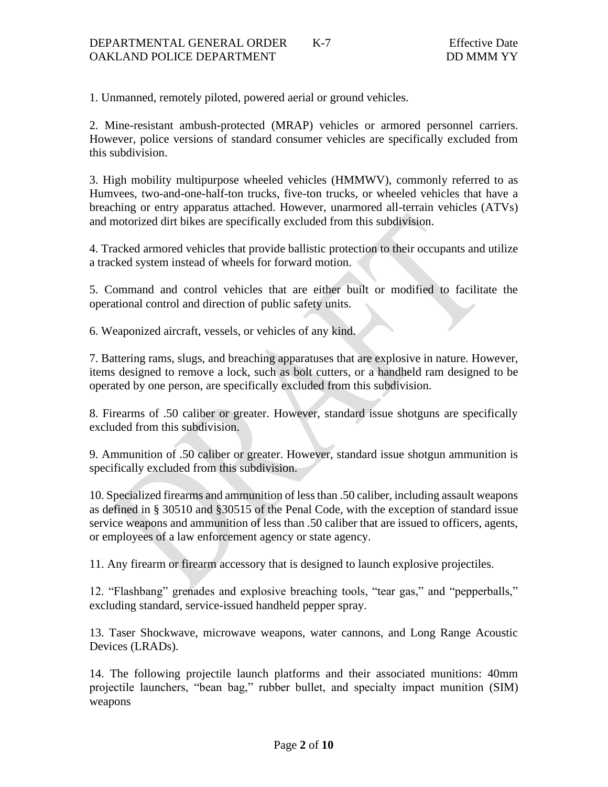1. Unmanned, remotely piloted, powered aerial or ground vehicles.

2. Mine-resistant ambush-protected (MRAP) vehicles or armored personnel carriers. However, police versions of standard consumer vehicles are specifically excluded from this subdivision.

3. High mobility multipurpose wheeled vehicles (HMMWV), commonly referred to as Humvees, two-and-one-half-ton trucks, five-ton trucks, or wheeled vehicles that have a breaching or entry apparatus attached. However, unarmored all-terrain vehicles (ATVs) and motorized dirt bikes are specifically excluded from this subdivision.

4. Tracked armored vehicles that provide ballistic protection to their occupants and utilize a tracked system instead of wheels for forward motion.

5. Command and control vehicles that are either built or modified to facilitate the operational control and direction of public safety units.

6. Weaponized aircraft, vessels, or vehicles of any kind.

7. Battering rams, slugs, and breaching apparatuses that are explosive in nature. However, items designed to remove a lock, such as bolt cutters, or a handheld ram designed to be operated by one person, are specifically excluded from this subdivision.

8. Firearms of .50 caliber or greater. However, standard issue shotguns are specifically excluded from this subdivision.

9. Ammunition of .50 caliber or greater. However, standard issue shotgun ammunition is specifically excluded from this subdivision.

10. Specialized firearms and ammunition of less than .50 caliber, including assault weapons as defined in § 30510 and §30515 of the Penal Code, with the exception of standard issue service weapons and ammunition of less than .50 caliber that are issued to officers, agents, or employees of a law enforcement agency or state agency.

11. Any firearm or firearm accessory that is designed to launch explosive projectiles.

12. "Flashbang" grenades and explosive breaching tools, "tear gas," and "pepperballs," excluding standard, service-issued handheld pepper spray.

13. Taser Shockwave, microwave weapons, water cannons, and Long Range Acoustic Devices (LRADs).

14. The following projectile launch platforms and their associated munitions: 40mm projectile launchers, "bean bag," rubber bullet, and specialty impact munition (SIM) weapons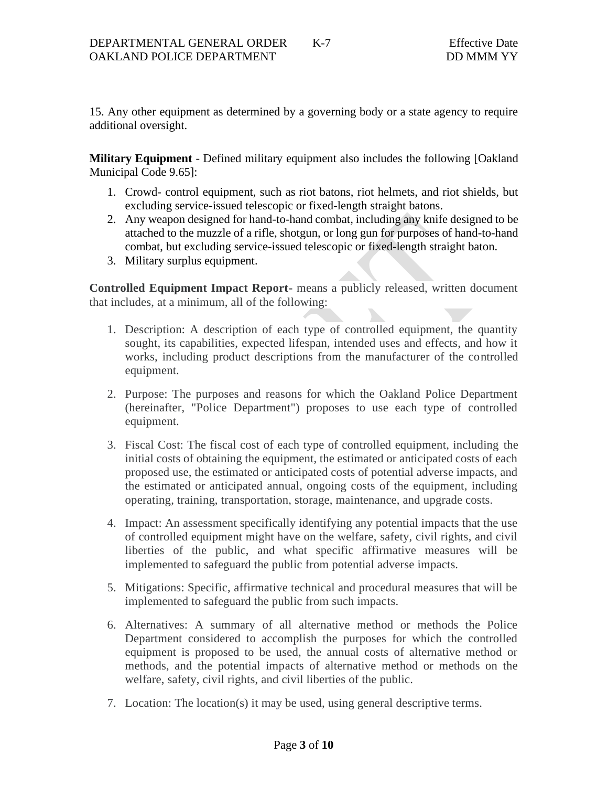15. Any other equipment as determined by a governing body or a state agency to require additional oversight.

**Military Equipment** - Defined military equipment also includes the following [Oakland Municipal Code 9.65]:

- 1. Crowd- control equipment, such as riot batons, riot helmets, and riot shields, but excluding service-issued telescopic or fixed-length straight batons.
- 2. Any weapon designed for hand-to-hand combat, including any knife designed to be attached to the muzzle of a rifle, shotgun, or long gun for purposes of hand-to-hand combat, but excluding service-issued telescopic or fixed-length straight baton.
- 3. Military surplus equipment.

**Controlled Equipment Impact Report-** means a publicly released, written document that includes, at a minimum, all of the following:

- 1. Description: A description of each type of controlled equipment, the quantity sought, its capabilities, expected lifespan, intended uses and effects, and how it works, including product descriptions from the manufacturer of the controlled equipment.
- 2. Purpose: The purposes and reasons for which the Oakland Police Department (hereinafter, "Police Department") proposes to use each type of controlled equipment.
- 3. Fiscal Cost: The fiscal cost of each type of controlled equipment, including the initial costs of obtaining the equipment, the estimated or anticipated costs of each proposed use, the estimated or anticipated costs of potential adverse impacts, and the estimated or anticipated annual, ongoing costs of the equipment, including operating, training, transportation, storage, maintenance, and upgrade costs.
- 4. Impact: An assessment specifically identifying any potential impacts that the use of controlled equipment might have on the welfare, safety, civil rights, and civil liberties of the public, and what specific affirmative measures will be implemented to safeguard the public from potential adverse impacts.
- 5. Mitigations: Specific, affirmative technical and procedural measures that will be implemented to safeguard the public from such impacts.
- 6. Alternatives: A summary of all alternative method or methods the Police Department considered to accomplish the purposes for which the controlled equipment is proposed to be used, the annual costs of alternative method or methods, and the potential impacts of alternative method or methods on the welfare, safety, civil rights, and civil liberties of the public.
- 7. Location: The location(s) it may be used, using general descriptive terms.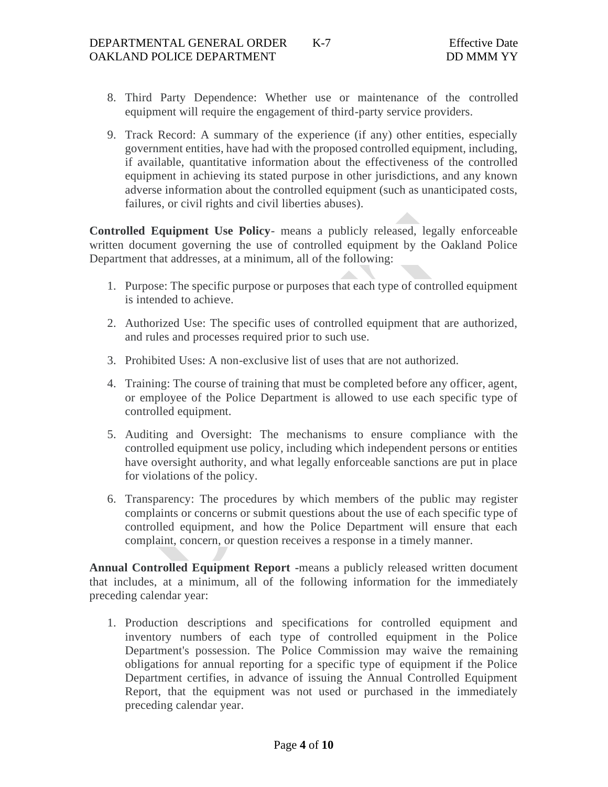- 8. Third Party Dependence: Whether use or maintenance of the controlled equipment will require the engagement of third-party service providers.
- 9. Track Record: A summary of the experience (if any) other entities, especially government entities, have had with the proposed controlled equipment, including, if available, quantitative information about the effectiveness of the controlled equipment in achieving its stated purpose in other jurisdictions, and any known adverse information about the controlled equipment (such as unanticipated costs, failures, or civil rights and civil liberties abuses).

**Controlled Equipment Use Policy**- means a publicly released, legally enforceable written document governing the use of controlled equipment by the Oakland Police Department that addresses, at a minimum, all of the following:

- 1. Purpose: The specific purpose or purposes that each type of controlled equipment is intended to achieve.
- 2. Authorized Use: The specific uses of controlled equipment that are authorized, and rules and processes required prior to such use.
- 3. Prohibited Uses: A non-exclusive list of uses that are not authorized.
- 4. Training: The course of training that must be completed before any officer, agent, or employee of the Police Department is allowed to use each specific type of controlled equipment.
- 5. Auditing and Oversight: The mechanisms to ensure compliance with the controlled equipment use policy, including which independent persons or entities have oversight authority, and what legally enforceable sanctions are put in place for violations of the policy.
- 6. Transparency: The procedures by which members of the public may register complaints or concerns or submit questions about the use of each specific type of controlled equipment, and how the Police Department will ensure that each complaint, concern, or question receives a response in a timely manner.

**Annual Controlled Equipment Report -**means a publicly released written document that includes, at a minimum, all of the following information for the immediately preceding calendar year:

1. Production descriptions and specifications for controlled equipment and inventory numbers of each type of controlled equipment in the Police Department's possession. The Police Commission may waive the remaining obligations for annual reporting for a specific type of equipment if the Police Department certifies, in advance of issuing the Annual Controlled Equipment Report, that the equipment was not used or purchased in the immediately preceding calendar year.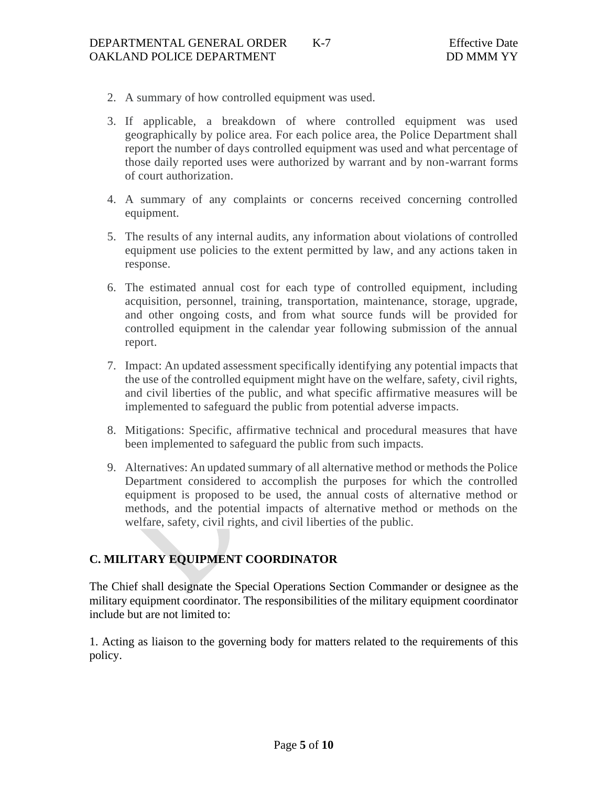- 2. A summary of how controlled equipment was used.
- 3. If applicable, a breakdown of where controlled equipment was used geographically by police area. For each police area, the Police Department shall report the number of days controlled equipment was used and what percentage of those daily reported uses were authorized by warrant and by non-warrant forms of court authorization.
- 4. A summary of any complaints or concerns received concerning controlled equipment.
- 5. The results of any internal audits, any information about violations of controlled equipment use policies to the extent permitted by law, and any actions taken in response.
- 6. The estimated annual cost for each type of controlled equipment, including acquisition, personnel, training, transportation, maintenance, storage, upgrade, and other ongoing costs, and from what source funds will be provided for controlled equipment in the calendar year following submission of the annual report.
- 7. Impact: An updated assessment specifically identifying any potential impacts that the use of the controlled equipment might have on the welfare, safety, civil rights, and civil liberties of the public, and what specific affirmative measures will be implemented to safeguard the public from potential adverse impacts.
- 8. Mitigations: Specific, affirmative technical and procedural measures that have been implemented to safeguard the public from such impacts.
- 9. Alternatives: An updated summary of all alternative method or methods the Police Department considered to accomplish the purposes for which the controlled equipment is proposed to be used, the annual costs of alternative method or methods, and the potential impacts of alternative method or methods on the welfare, safety, civil rights, and civil liberties of the public.

# **C. MILITARY EQUIPMENT COORDINATOR**

The Chief shall designate the Special Operations Section Commander or designee as the military equipment coordinator. The responsibilities of the military equipment coordinator include but are not limited to:

1. Acting as liaison to the governing body for matters related to the requirements of this policy.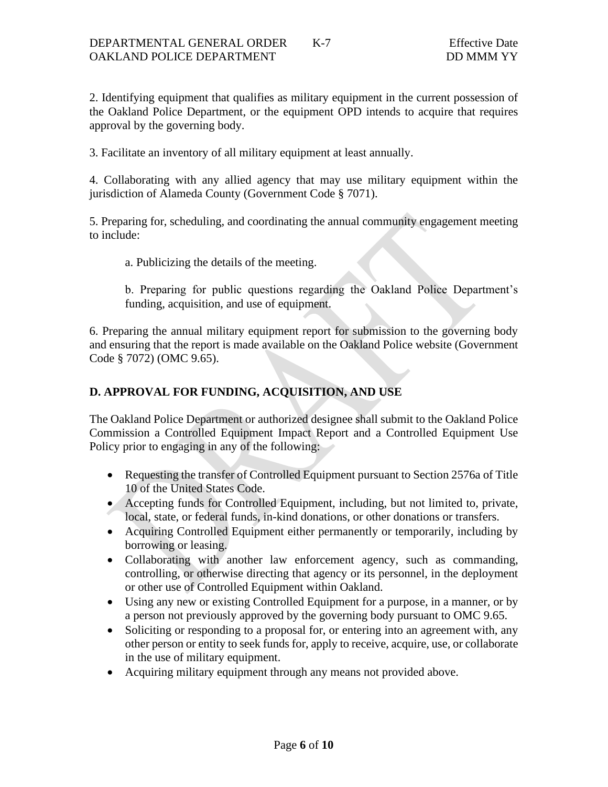2. Identifying equipment that qualifies as military equipment in the current possession of the Oakland Police Department, or the equipment OPD intends to acquire that requires approval by the governing body.

3. Facilitate an inventory of all military equipment at least annually.

4. Collaborating with any allied agency that may use military equipment within the jurisdiction of Alameda County (Government Code § 7071).

5. Preparing for, scheduling, and coordinating the annual community engagement meeting to include:

a. Publicizing the details of the meeting.

b. Preparing for public questions regarding the Oakland Police Department's funding, acquisition, and use of equipment.

6. Preparing the annual military equipment report for submission to the governing body and ensuring that the report is made available on the Oakland Police website (Government Code § 7072) (OMC 9.65).

## **D. APPROVAL FOR FUNDING, ACQUISITION, AND USE**

The Oakland Police Department or authorized designee shall submit to the Oakland Police Commission a Controlled Equipment Impact Report and a Controlled Equipment Use Policy prior to engaging in any of the following:

- Requesting the transfer of Controlled Equipment pursuant to Section 2576a of Title 10 of the United States Code.
- Accepting funds for Controlled Equipment, including, but not limited to, private, local, state, or federal funds, in-kind donations, or other donations or transfers.
- Acquiring Controlled Equipment either permanently or temporarily, including by borrowing or leasing.
- Collaborating with another law enforcement agency, such as commanding, controlling, or otherwise directing that agency or its personnel, in the deployment or other use of Controlled Equipment within Oakland.
- Using any new or existing Controlled Equipment for a purpose, in a manner, or by a person not previously approved by the governing body pursuant to OMC 9.65.
- Soliciting or responding to a proposal for, or entering into an agreement with, any other person or entity to seek funds for, apply to receive, acquire, use, or collaborate in the use of military equipment.
- Acquiring military equipment through any means not provided above.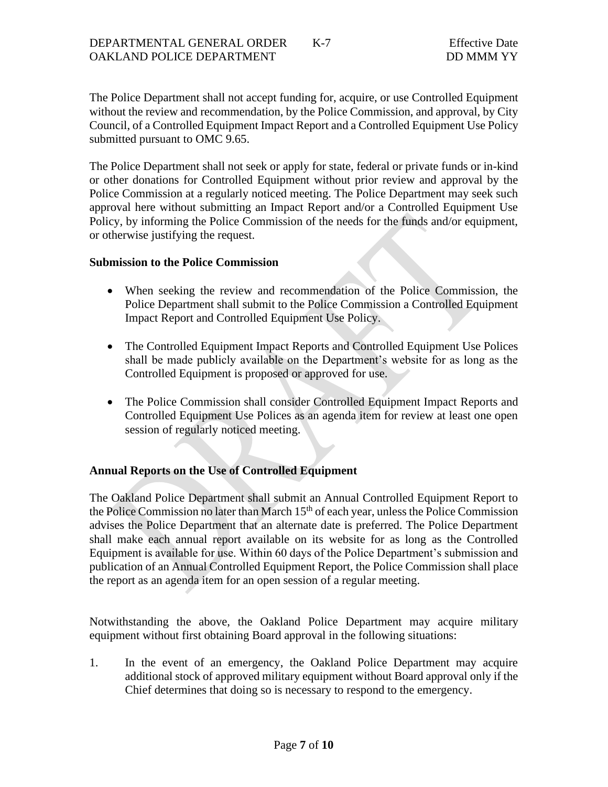The Police Department shall not accept funding for, acquire, or use Controlled Equipment without the review and recommendation, by the Police Commission, and approval, by City Council, of a Controlled Equipment Impact Report and a Controlled Equipment Use Policy submitted pursuant to OMC 9.65.

The Police Department shall not seek or apply for state, federal or private funds or in-kind or other donations for Controlled Equipment without prior review and approval by the Police Commission at a regularly noticed meeting. The Police Department may seek such approval here without submitting an Impact Report and/or a Controlled Equipment Use Policy, by informing the Police Commission of the needs for the funds and/or equipment, or otherwise justifying the request.

#### **Submission to the Police Commission**

- When seeking the review and recommendation of the Police Commission, the Police Department shall submit to the Police Commission a Controlled Equipment Impact Report and Controlled Equipment Use Policy.
- The Controlled Equipment Impact Reports and Controlled Equipment Use Polices shall be made publicly available on the Department's website for as long as the Controlled Equipment is proposed or approved for use.
- The Police Commission shall consider Controlled Equipment Impact Reports and Controlled Equipment Use Polices as an agenda item for review at least one open session of regularly noticed meeting.

### **Annual Reports on the Use of Controlled Equipment**

The Oakland Police Department shall submit an Annual Controlled Equipment Report to the Police Commission no later than March  $15<sup>th</sup>$  of each year, unless the Police Commission advises the Police Department that an alternate date is preferred. The Police Department shall make each annual report available on its website for as long as the Controlled Equipment is available for use. Within 60 days of the Police Department's submission and publication of an Annual Controlled Equipment Report, the Police Commission shall place the report as an agenda item for an open session of a regular meeting.

Notwithstanding the above, the Oakland Police Department may acquire military equipment without first obtaining Board approval in the following situations:

1. In the event of an emergency, the Oakland Police Department may acquire additional stock of approved military equipment without Board approval only if the Chief determines that doing so is necessary to respond to the emergency.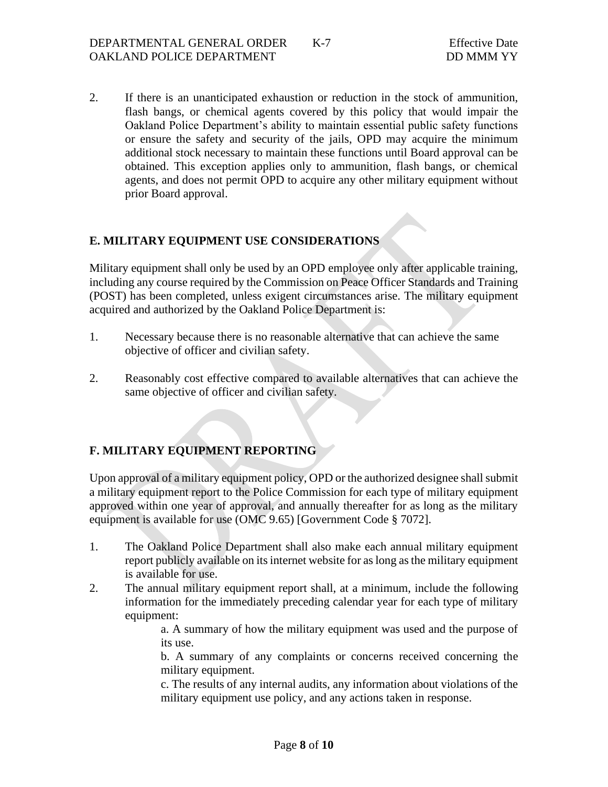2. If there is an unanticipated exhaustion or reduction in the stock of ammunition, flash bangs, or chemical agents covered by this policy that would impair the Oakland Police Department's ability to maintain essential public safety functions or ensure the safety and security of the jails, OPD may acquire the minimum additional stock necessary to maintain these functions until Board approval can be obtained. This exception applies only to ammunition, flash bangs, or chemical agents, and does not permit OPD to acquire any other military equipment without prior Board approval.

## **E. MILITARY EQUIPMENT USE CONSIDERATIONS**

Military equipment shall only be used by an OPD employee only after applicable training, including any course required by the Commission on Peace Officer Standards and Training (POST) has been completed, unless exigent circumstances arise. The military equipment acquired and authorized by the Oakland Police Department is:

- 1. Necessary because there is no reasonable alternative that can achieve the same objective of officer and civilian safety.
- 2. Reasonably cost effective compared to available alternatives that can achieve the same objective of officer and civilian safety.

# **F. MILITARY EQUIPMENT REPORTING**

Upon approval of a military equipment policy, OPD or the authorized designee shall submit a military equipment report to the Police Commission for each type of military equipment approved within one year of approval, and annually thereafter for as long as the military equipment is available for use (OMC 9.65) [Government Code § 7072].

- 1. The Oakland Police Department shall also make each annual military equipment report publicly available on its internet website for as long as the military equipment is available for use.
- 2. The annual military equipment report shall, at a minimum, include the following information for the immediately preceding calendar year for each type of military equipment:

a. A summary of how the military equipment was used and the purpose of its use.

b. A summary of any complaints or concerns received concerning the military equipment.

c. The results of any internal audits, any information about violations of the military equipment use policy, and any actions taken in response.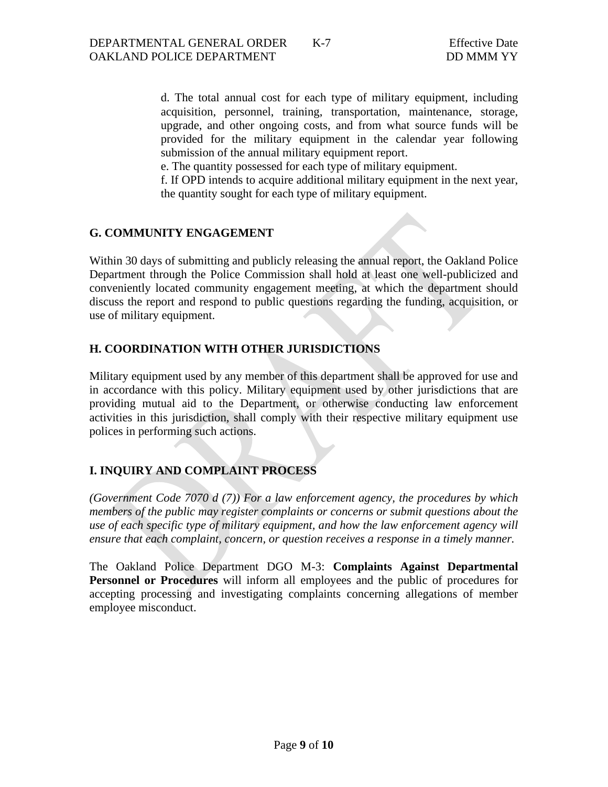d. The total annual cost for each type of military equipment, including acquisition, personnel, training, transportation, maintenance, storage, upgrade, and other ongoing costs, and from what source funds will be provided for the military equipment in the calendar year following submission of the annual military equipment report.

e. The quantity possessed for each type of military equipment.

f. If OPD intends to acquire additional military equipment in the next year, the quantity sought for each type of military equipment.

#### **G. COMMUNITY ENGAGEMENT**

Within 30 days of submitting and publicly releasing the annual report, the Oakland Police Department through the Police Commission shall hold at least one well-publicized and conveniently located community engagement meeting, at which the department should discuss the report and respond to public questions regarding the funding, acquisition, or use of military equipment.

#### **H. COORDINATION WITH OTHER JURISDICTIONS**

Military equipment used by any member of this department shall be approved for use and in accordance with this policy. Military equipment used by other jurisdictions that are providing mutual aid to the Department, or otherwise conducting law enforcement activities in this jurisdiction, shall comply with their respective military equipment use polices in performing such actions.

#### **I. INQUIRY AND COMPLAINT PROCESS**

*(Government Code 7070 d (7)) For a law enforcement agency, the procedures by which members of the public may register complaints or concerns or submit questions about the use of each specific type of military equipment, and how the law enforcement agency will ensure that each complaint, concern, or question receives a response in a timely manner.*

The Oakland Police Department DGO M-3: **Complaints Against Departmental Personnel or Procedures** will inform all employees and the public of procedures for accepting processing and investigating complaints concerning allegations of member employee misconduct.